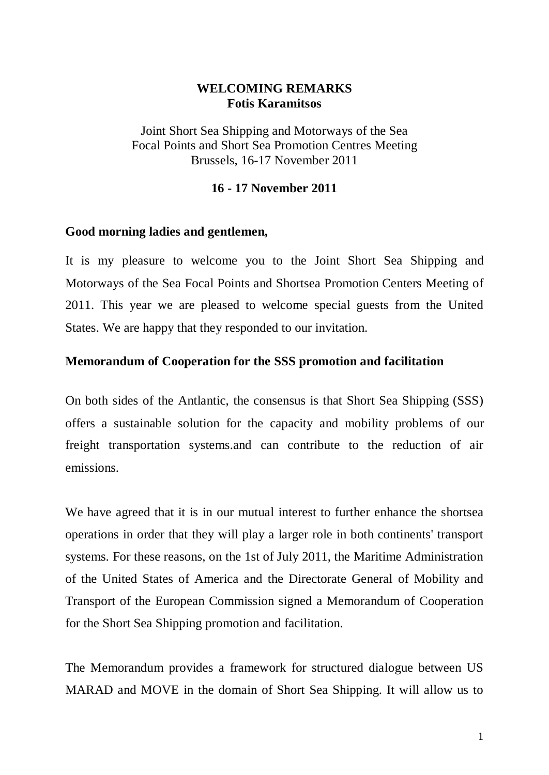# **WELCOMING REMARKS Fotis Karamitsos**

Joint Short Sea Shipping and Motorways of the Sea Focal Points and Short Sea Promotion Centres Meeting Brussels, 16-17 November 2011

### **16 - 17 November 2011**

### **Good morning ladies and gentlemen,**

It is my pleasure to welcome you to the Joint Short Sea Shipping and Motorways of the Sea Focal Points and Shortsea Promotion Centers Meeting of 2011. This year we are pleased to welcome special guests from the United States. We are happy that they responded to our invitation.

### **Memorandum of Cooperation for the SSS promotion and facilitation**

On both sides of the Antlantic, the consensus is that Short Sea Shipping (SSS) offers a sustainable solution for the capacity and mobility problems of our freight transportation systems.and can contribute to the reduction of air emissions.

We have agreed that it is in our mutual interest to further enhance the shortsea operations in order that they will play a larger role in both continents' transport systems. For these reasons, on the 1st of July 2011, the Maritime Administration of the United States of America and the Directorate General of Mobility and Transport of the European Commission signed a Memorandum of Cooperation for the Short Sea Shipping promotion and facilitation.

The Memorandum provides a framework for structured dialogue between US MARAD and MOVE in the domain of Short Sea Shipping. It will allow us to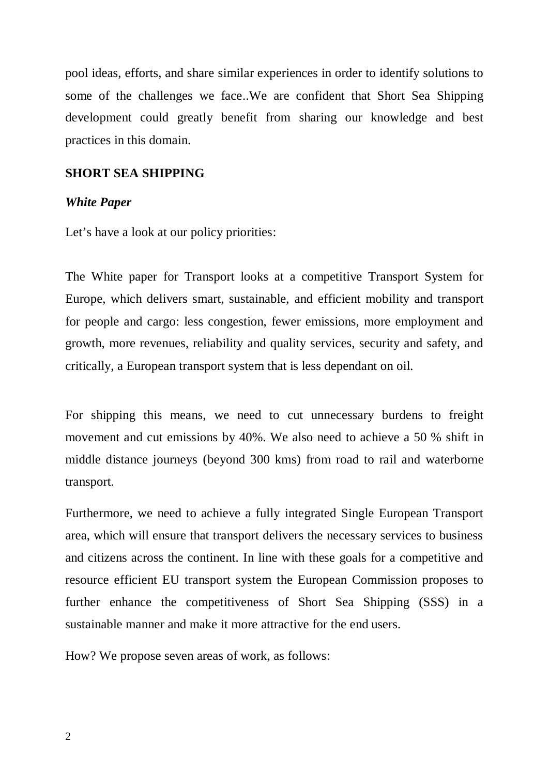pool ideas, efforts, and share similar experiences in order to identify solutions to some of the challenges we face..We are confident that Short Sea Shipping development could greatly benefit from sharing our knowledge and best practices in this domain.

### **SHORT SEA SHIPPING**

#### *White Paper*

Let's have a look at our policy priorities:

The White paper for Transport looks at a competitive Transport System for Europe, which delivers smart, sustainable, and efficient mobility and transport for people and cargo: less congestion, fewer emissions, more employment and growth, more revenues, reliability and quality services, security and safety, and critically, a European transport system that is less dependant on oil.

For shipping this means, we need to cut unnecessary burdens to freight movement and cut emissions by 40%. We also need to achieve a 50 % shift in middle distance journeys (beyond 300 kms) from road to rail and waterborne transport.

Furthermore, we need to achieve a fully integrated Single European Transport area, which will ensure that transport delivers the necessary services to business and citizens across the continent. In line with these goals for a competitive and resource efficient EU transport system the European Commission proposes to further enhance the competitiveness of Short Sea Shipping (SSS) in a sustainable manner and make it more attractive for the end users.

How? We propose seven areas of work, as follows: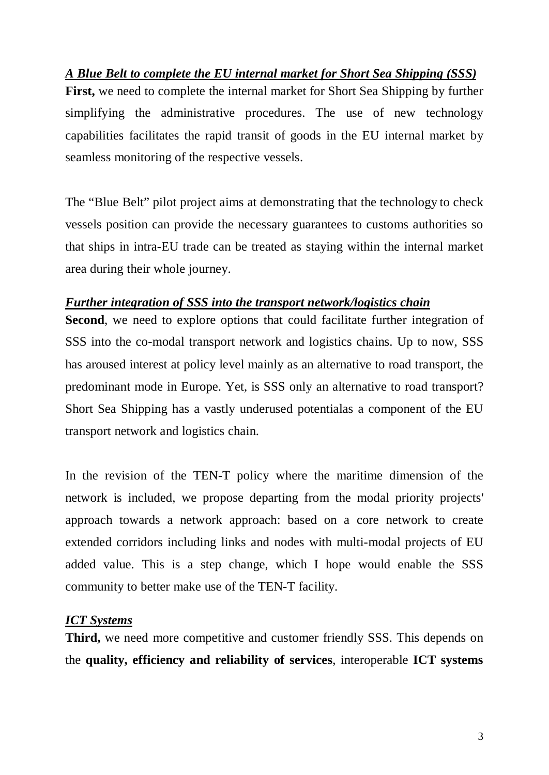*A Blue Belt to complete the EU internal market for Short Sea Shipping (SSS)*

**First,** we need to complete the internal market for Short Sea Shipping by further simplifying the administrative procedures. The use of new technology capabilities facilitates the rapid transit of goods in the EU internal market by seamless monitoring of the respective vessels.

The "Blue Belt" pilot project aims at demonstrating that the technology to check vessels position can provide the necessary guarantees to customs authorities so that ships in intra-EU trade can be treated as staying within the internal market area during their whole journey.

# *Further integration of SSS into the transport network/logistics chain*

**Second**, we need to explore options that could facilitate further integration of SSS into the co-modal transport network and logistics chains. Up to now, SSS has aroused interest at policy level mainly as an alternative to road transport, the predominant mode in Europe. Yet, is SSS only an alternative to road transport? Short Sea Shipping has a vastly underused potentialas a component of the EU transport network and logistics chain.

In the revision of the TEN-T policy where the maritime dimension of the network is included, we propose departing from the modal priority projects' approach towards a network approach: based on a core network to create extended corridors including links and nodes with multi-modal projects of EU added value. This is a step change, which I hope would enable the SSS community to better make use of the TEN-T facility.

# *ICT Systems*

**Third,** we need more competitive and customer friendly SSS. This depends on the **quality, efficiency and reliability of services**, interoperable **ICT systems**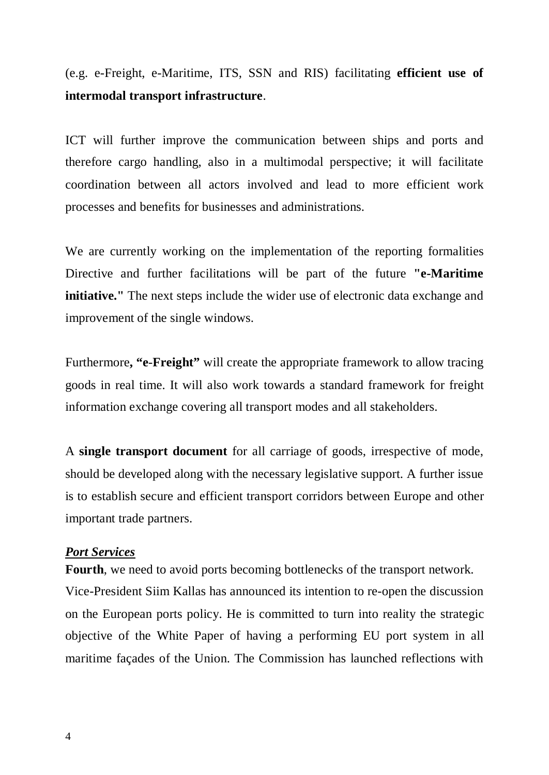(e.g. e-Freight, e-Maritime, ITS, SSN and RIS) facilitating **efficient use of intermodal transport infrastructure**.

ICT will further improve the communication between ships and ports and therefore cargo handling, also in a multimodal perspective; it will facilitate coordination between all actors involved and lead to more efficient work processes and benefits for businesses and administrations.

We are currently working on the implementation of the reporting formalities Directive and further facilitations will be part of the future **"e-Maritime initiative.**" The next steps include the wider use of electronic data exchange and improvement of the single windows.

Furthermore**, "e**-**Freight"** will create the appropriate framework to allow tracing goods in real time. It will also work towards a standard framework for freight information exchange covering all transport modes and all stakeholders.

A **single transport document** for all carriage of goods, irrespective of mode, should be developed along with the necessary legislative support. A further issue is to establish secure and efficient transport corridors between Europe and other important trade partners.

#### *Port Services*

**Fourth**, we need to avoid ports becoming bottlenecks of the transport network.

Vice-President Siim Kallas has announced its intention to re-open the discussion on the European ports policy. He is committed to turn into reality the strategic objective of the White Paper of having a performing EU port system in all maritime façades of the Union. The Commission has launched reflections with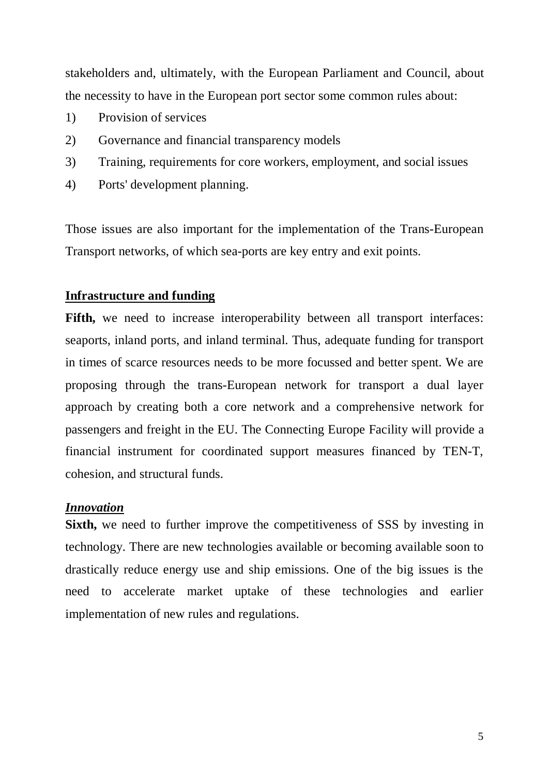stakeholders and, ultimately, with the European Parliament and Council, about the necessity to have in the European port sector some common rules about:

- 1) Provision of services
- 2) Governance and financial transparency models
- 3) Training, requirements for core workers, employment, and social issues
- 4) Ports' development planning.

Those issues are also important for the implementation of the Trans-European Transport networks, of which sea-ports are key entry and exit points.

# **Infrastructure and funding**

Fifth, we need to increase interoperability between all transport interfaces: seaports, inland ports, and inland terminal. Thus, adequate funding for transport in times of scarce resources needs to be more focussed and better spent. We are proposing through the trans-European network for transport a dual layer approach by creating both a core network and a comprehensive network for passengers and freight in the EU. The Connecting Europe Facility will provide a financial instrument for coordinated support measures financed by TEN-T, cohesion, and structural funds.

#### *Innovation*

**Sixth,** we need to further improve the competitiveness of SSS by investing in technology. There are new technologies available or becoming available soon to drastically reduce energy use and ship emissions. One of the big issues is the need to accelerate market uptake of these technologies and earlier implementation of new rules and regulations.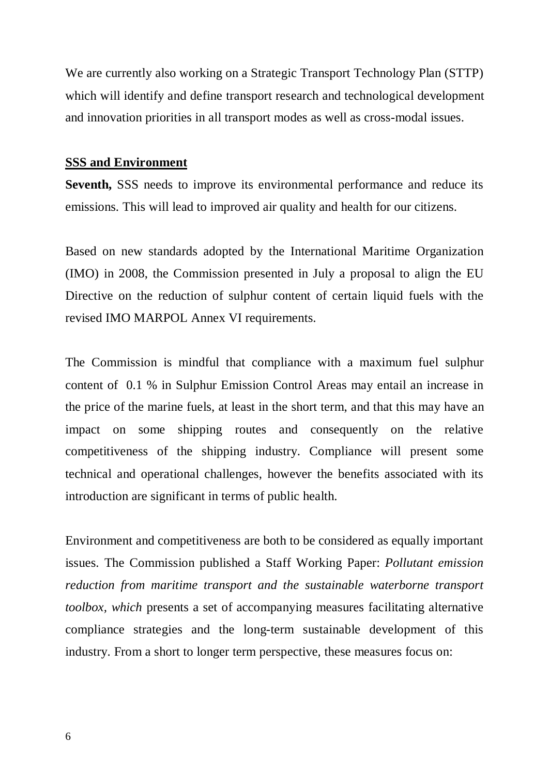We are currently also working on a Strategic Transport Technology Plan (STTP) which will identify and define transport research and technological development and innovation priorities in all transport modes as well as cross-modal issues.

#### **SSS and Environment**

**Seventh,** SSS needs to improve its environmental performance and reduce its emissions. This will lead to improved air quality and health for our citizens.

Based on new standards adopted by the International Maritime Organization (IMO) in 2008, the Commission presented in July a proposal to align the EU Directive on the reduction of sulphur content of certain liquid fuels with the revised IMO MARPOL Annex VI requirements.

The Commission is mindful that compliance with a maximum fuel sulphur content of 0.1 % in Sulphur Emission Control Areas may entail an increase in the price of the marine fuels, at least in the short term, and that this may have an impact on some shipping routes and consequently on the relative competitiveness of the shipping industry. Compliance will present some technical and operational challenges, however the benefits associated with its introduction are significant in terms of public health.

Environment and competitiveness are both to be considered as equally important issues. The Commission published a Staff Working Paper: *Pollutant emission reduction from maritime transport and the sustainable waterborne transport toolbox, which* presents a set of accompanying measures facilitating alternative compliance strategies and the long-term sustainable development of this industry. From a short to longer term perspective, these measures focus on: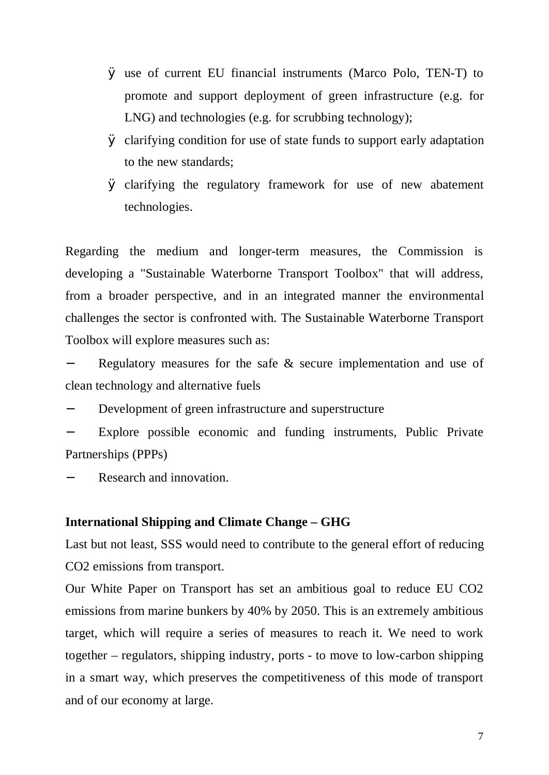- Ø use of current EU financial instruments (Marco Polo, TEN-T) to promote and support deployment of green infrastructure (e.g. for LNG) and technologies (e.g. for scrubbing technology);
- Ø clarifying condition for use of state funds to support early adaptation to the new standards;
- Ø clarifying the regulatory framework for use of new abatement technologies.

Regarding the medium and longer-term measures, the Commission is developing a "Sustainable Waterborne Transport Toolbox" that will address, from a broader perspective, and in an integrated manner the environmental challenges the sector is confronted with. The Sustainable Waterborne Transport Toolbox will explore measures such as:

Regulatory measures for the safe  $&$  secure implementation and use of clean technology and alternative fuels

Development of green infrastructure and superstructure

− Explore possible economic and funding instruments, Public Private Partnerships (PPPs)

− Research and innovation.

# **International Shipping and Climate Change – GHG**

Last but not least, SSS would need to contribute to the general effort of reducing CO2 emissions from transport.

Our White Paper on Transport has set an ambitious goal to reduce EU CO2 emissions from marine bunkers by 40% by 2050. This is an extremely ambitious target, which will require a series of measures to reach it. We need to work together – regulators, shipping industry, ports - to move to low-carbon shipping in a smart way, which preserves the competitiveness of this mode of transport and of our economy at large.